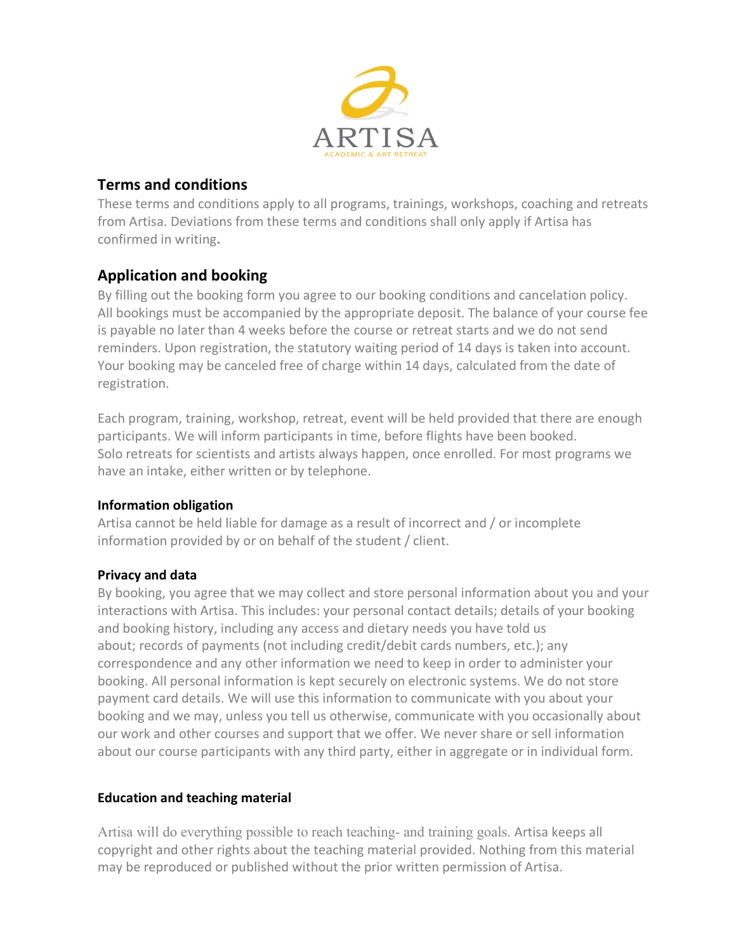

# **Terms and conditions**

These terms and conditions apply to all programs, trainings, workshops, coaching and retreats from Artisa. Deviations from these terms and conditions shall only apply if Artisa has confirmed in writing**.**

# **Application and booking**

By filling out the booking form you agree to our booking conditions and cancelation policy. All bookings must be accompanied by the appropriate deposit. The balance of your course fee is payable no later than 4 weeks before the course or retreat starts and we do not send reminders. Upon registration, the statutory waiting period of 14 days is taken into account. Your booking may be canceled free of charge within 14 days, calculated from the date of registration.

Each program, training, workshop, retreat, event will be held provided that there are enough participants. We will inform participants in time, before flights have been booked. Solo retreats for scientists and artists always happen, once enrolled. For most programs we have an intake, either written or by telephone.

## **Information obligation**

Artisa cannot be held liable for damage as a result of incorrect and / or incomplete information provided by or on behalf of the student / client.

# **Privacy and data**

By booking, you agree that we may collect and store personal information about you and your interactions with Artisa. This includes: your personal contact details; details of your booking and booking history, including any access and dietary needs you have told us about; records of payments (not including credit/debit cards numbers, etc.); any correspondence and any other information we need to keep in order to administer your booking. All personal information is kept securely on electronic systems. We do not store payment card details. We will use this information to communicate with you about your booking and we may, unless you tell us otherwise, communicate with you occasionally about our work and other courses and support that we offer. We never share or sell information about our course participants with any third party, either in aggregate or in individual form.

## **Education and teaching material**

Artisa will do everything possible to reach teaching- and training goals. Artisa keeps all copyright and other rights about the teaching material provided. Nothing from this material may be reproduced or published without the prior written permission of Artisa.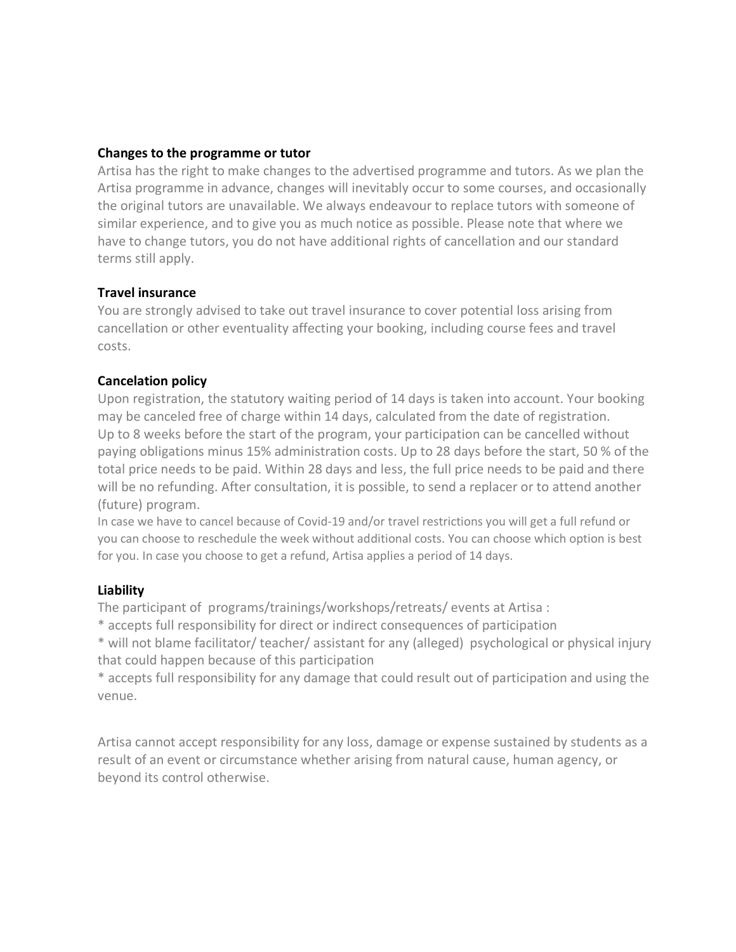#### **Changes to the programme or tutor**

Artisa has the right to make changes to the advertised programme and tutors. As we plan the Artisa programme in advance, changes will inevitably occur to some courses, and occasionally the original tutors are unavailable. We always endeavour to replace tutors with someone of similar experience, and to give you as much notice as possible. Please note that where we have to change tutors, you do not have additional rights of cancellation and our standard terms still apply.

#### **Travel insurance**

You are strongly advised to take out travel insurance to cover potential loss arising from cancellation or other eventuality affecting your booking, including course fees and travel costs.

#### **Cancelation policy**

Upon registration, the statutory waiting period of 14 days is taken into account. Your booking may be canceled free of charge within 14 days, calculated from the date of registration. Up to 8 weeks before the start of the program, your participation can be cancelled without paying obligations minus 15% administration costs. Up to 28 days before the start, 50 % of the total price needs to be paid. Within 28 days and less, the full price needs to be paid and there will be no refunding. After consultation, it is possible, to send a replacer or to attend another (future) program.

In case we have to cancel because of Covid-19 and/or travel restrictions you will get a full refund or you can choose to reschedule the week without additional costs. You can choose which option is best for you. In case you choose to get a refund, Artisa applies a period of 14 days.

#### **Liability**

The participant of programs/trainings/workshops/retreats/ events at Artisa :

\* accepts full responsibility for direct or indirect consequences of participation

\* will not blame facilitator/ teacher/ assistant for any (alleged) psychological or physical injury that could happen because of this participation

\* accepts full responsibility for any damage that could result out of participation and using the venue.

Artisa cannot accept responsibility for any loss, damage or expense sustained by students as a result of an event or circumstance whether arising from natural cause, human agency, or beyond its control otherwise.